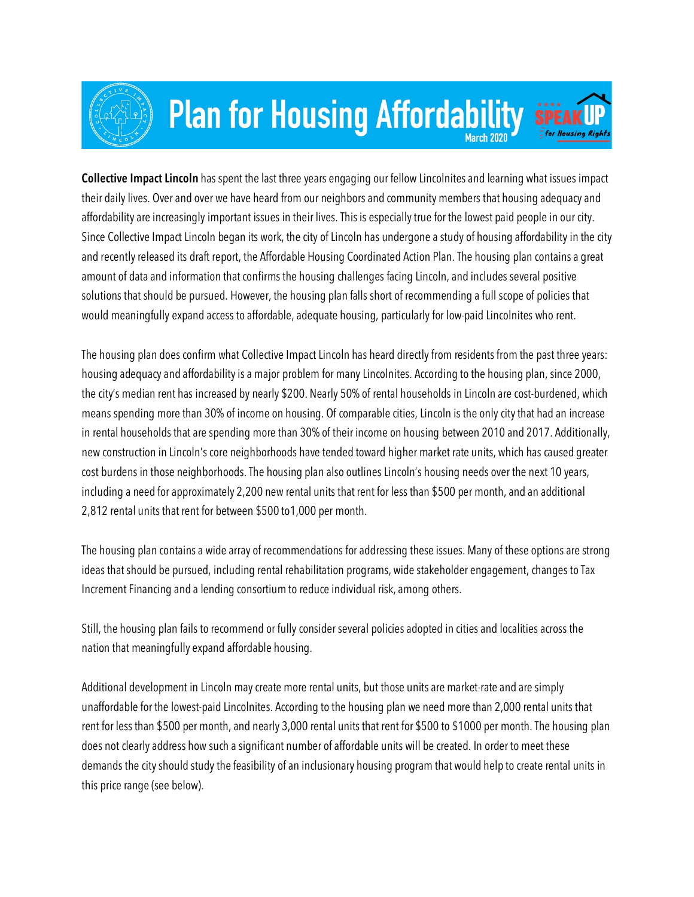

## **Plan for Housing Affordability**



**Collective Impact Lincoln** has spent the last three years engaging our fellow Lincolnites and learning what issues impact their daily lives. Over and over we have heard from our neighbors and community members that housing adequacy and affordability are increasingly important issues in their lives. This is especially true for the lowest paid people in our city. Since Collective Impact Lincoln began its work, the city of Lincoln has undergone a study of housing affordability in the city and recently released its draft report, the Affordable Housing Coordinated Action Plan. The housing plan contains a great amount of data and information that confirms the housing challenges facing Lincoln, and includes several positive solutions that should be pursued. However, the housing plan falls short of recommending a full scope of policies that would meaningfully expand access to affordable, adequate housing, particularly for low-paid Lincolnites who rent.

The housing plan does confirm what Collective Impact Lincoln has heard directly from residents from the past three years: housing adequacy and affordability is a major problem for many Lincolnites. According to the housing plan, since 2000, the city's median rent has increased by nearly \$200. Nearly 50% of rental households in Lincoln are cost-burdened, which means spending more than 30% of income on housing. Of comparable cities, Lincoln is the only city that had an increase in rental households that are spending more than 30% of their income on housing between 2010 and 2017. Additionally, new construction in Lincoln's core neighborhoods have tended toward higher market rate units, which has caused greater cost burdens in those neighborhoods. The housing plan also outlines Lincoln's housing needs over the next 10 years, including a need for approximately 2,200 new rental units that rent for less than \$500 per month, and an additional 2,812 rental units that rent for between \$500 to1,000 per month.

The housing plan contains a wide array of recommendations for addressing these issues. Many of these options are strong ideas that should be pursued, including rental rehabilitation programs, wide stakeholder engagement, changes to Tax Increment Financing and a lending consortium to reduce individual risk, among others.

Still, the housing plan fails to recommend or fully consider several policies adopted in cities and localities across the nation that meaningfully expand affordable housing.

Additional development in Lincoln may create more rental units, but those units are market-rate and are simply unaffordable for the lowest-paid Lincolnites. According to the housing plan we need more than 2,000 rental units that rent for less than \$500 per month, and nearly 3,000 rental units that rent for \$500 to \$1000 per month. The housing plan does not clearly address how such a significant number of affordable units will be created. In order to meet these demands the city should study the feasibility of an inclusionary housing program that would help to create rental units in this price range (see below).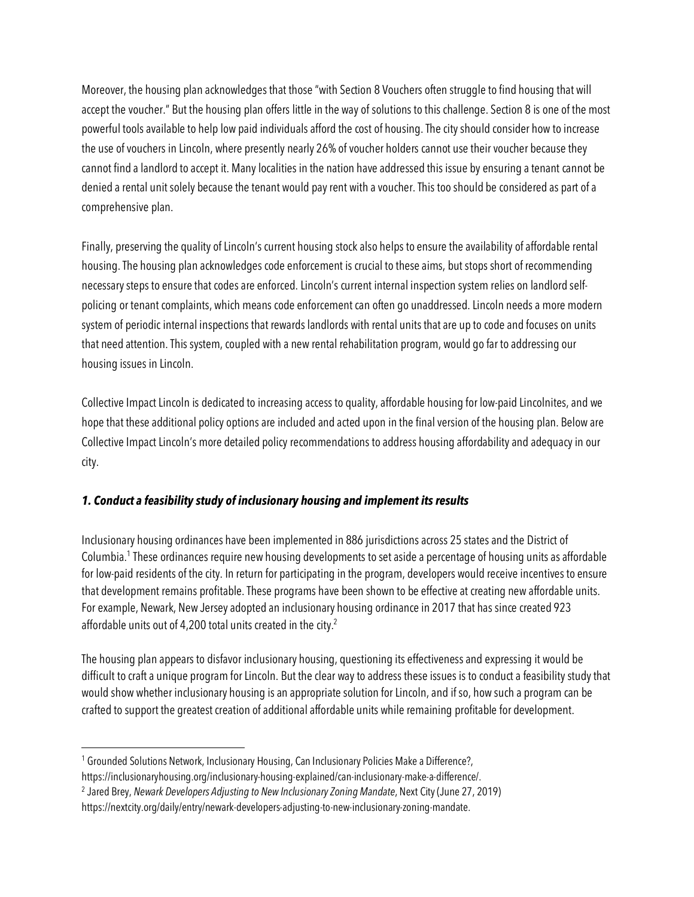Moreover, the housing plan acknowledges that those "with Section 8 Vouchers often struggle to find housing that will accept the voucher." But the housing plan offers little in the way of solutions to this challenge. Section 8 is one of the most powerful tools available to help low paid individuals afford the cost of housing. The city should consider how to increase the use of vouchers in Lincoln, where presently nearly 26% of voucher holders cannot use their voucher because they cannot find a landlord to accept it. Many localities in the nation have addressed this issue by ensuring a tenant cannot be denied a rental unit solely because the tenant would pay rent with a voucher. This too should be considered as part of a comprehensive plan.

Finally, preserving the quality of Lincoln's current housing stock also helps to ensure the availability of affordable rental housing. The housing plan acknowledges code enforcement is crucial to these aims, but stops short of recommending necessary steps to ensure that codes are enforced. Lincoln's current internal inspection system relies on landlord selfpolicing or tenant complaints, which means code enforcement can often go unaddressed. Lincoln needs a more modern system of periodic internal inspections that rewards landlords with rental units that are up to code and focuses on units that need attention. This system, coupled with a new rental rehabilitation program, would go far to addressing our housing issues in Lincoln.

Collective Impact Lincoln is dedicated to increasing access to quality, affordable housing for low-paid Lincolnites, and we hope that these additional policy options are included and acted upon in the final version of the housing plan. Below are Collective Impact Lincoln's more detailed policy recommendations to address housing affordability and adequacy in our city.

## *1. Conduct a feasibility study of inclusionary housing and implement its results*

Inclusionary housing ordinances have been implemented in 886 jurisdictions across 25 states and the District of Columbia.1 These ordinances require new housing developments to set aside a percentage of housing units as affordable for low-paid residents of the city. In return for participating in the program, developers would receive incentives to ensure that development remains profitable. These programs have been shown to be effective at creating new affordable units. For example, Newark, New Jersey adopted an inclusionary housing ordinance in 2017 that has since created 923 affordable units out of 4,200 total units created in the city.<sup>2</sup>

The housing plan appears to disfavor inclusionary housing, questioning its effectiveness and expressing it would be difficult to craft a unique program for Lincoln. But the clear way to address these issues is to conduct a feasibility study that would show whether inclusionary housing is an appropriate solution for Lincoln, and if so, how such a program can be crafted to support the greatest creation of additional affordable units while remaining profitable for development.

 $\overline{a}$ <sup>1</sup> Grounded Solutions Network, Inclusionary Housing, Can Inclusionary Policies Make a Difference?, https://inclusionaryhousing.org/inclusionary-housing-explained/can-inclusionary-make-a-difference/.

<sup>2</sup> Jared Brey, *Newark Developers Adjusting to New Inclusionary Zoning Mandate*, Next City (June 27, 2019) https://nextcity.org/daily/entry/newark-developers-adjusting-to-new-inclusionary-zoning-mandate.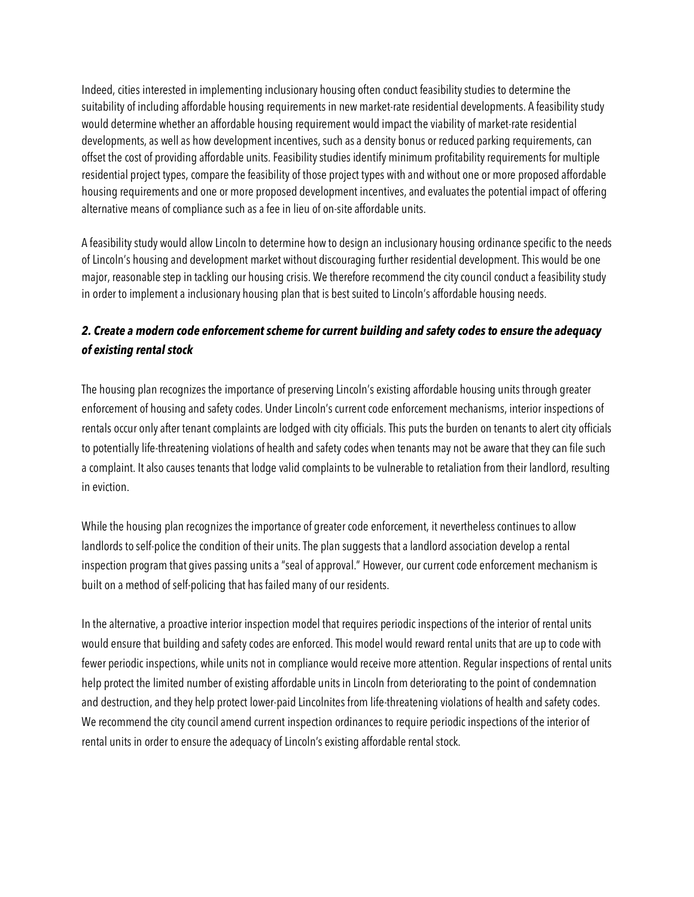Indeed, cities interested in implementing inclusionary housing often conduct feasibility studies to determine the suitability of including affordable housing requirements in new market-rate residential developments. A feasibility study would determine whether an affordable housing requirement would impact the viability of market-rate residential developments, as well as how development incentives, such as a density bonus or reduced parking requirements, can offset the cost of providing affordable units. Feasibility studies identify minimum profitability requirements for multiple residential project types, compare the feasibility of those project types with and without one or more proposed affordable housing requirements and one or more proposed development incentives, and evaluates the potential impact of offering alternative means of compliance such as a fee in lieu of on-site affordable units.

A feasibility study would allow Lincoln to determine how to design an inclusionary housing ordinance specific to the needs of Lincoln's housing and development market without discouraging further residential development. This would be one major, reasonable step in tackling our housing crisis. We therefore recommend the city council conduct a feasibility study in order to implement a inclusionary housing plan that is best suited to Lincoln's affordable housing needs.

## *2. Create a modern code enforcement scheme for current building and safety codes to ensure the adequacy of existing rental stock*

The housing plan recognizes the importance of preserving Lincoln's existing affordable housing units through greater enforcement of housing and safety codes. Under Lincoln's current code enforcement mechanisms, interior inspections of rentals occur only after tenant complaints are lodged with city officials. This puts the burden on tenants to alert city officials to potentially life-threatening violations of health and safety codes when tenants may not be aware that they can file such a complaint. It also causes tenants that lodge valid complaints to be vulnerable to retaliation from their landlord, resulting in eviction.

While the housing plan recognizes the importance of greater code enforcement, it nevertheless continues to allow landlords to self-police the condition of their units. The plan suggests that a landlord association develop a rental inspection program that gives passing units a "seal of approval." However, our current code enforcement mechanism is built on a method of self-policing that has failed many of our residents.

In the alternative, a proactive interior inspection model that requires periodic inspections of the interior of rental units would ensure that building and safety codes are enforced. This model would reward rental units that are up to code with fewer periodic inspections, while units not in compliance would receive more attention. Regular inspections of rental units help protect the limited number of existing affordable units in Lincoln from deteriorating to the point of condemnation and destruction, and they help protect lower-paid Lincolnites from life-threatening violations of health and safety codes. We recommend the city council amend current inspection ordinances to require periodic inspections of the interior of rental units in order to ensure the adequacy of Lincoln's existing affordable rental stock.